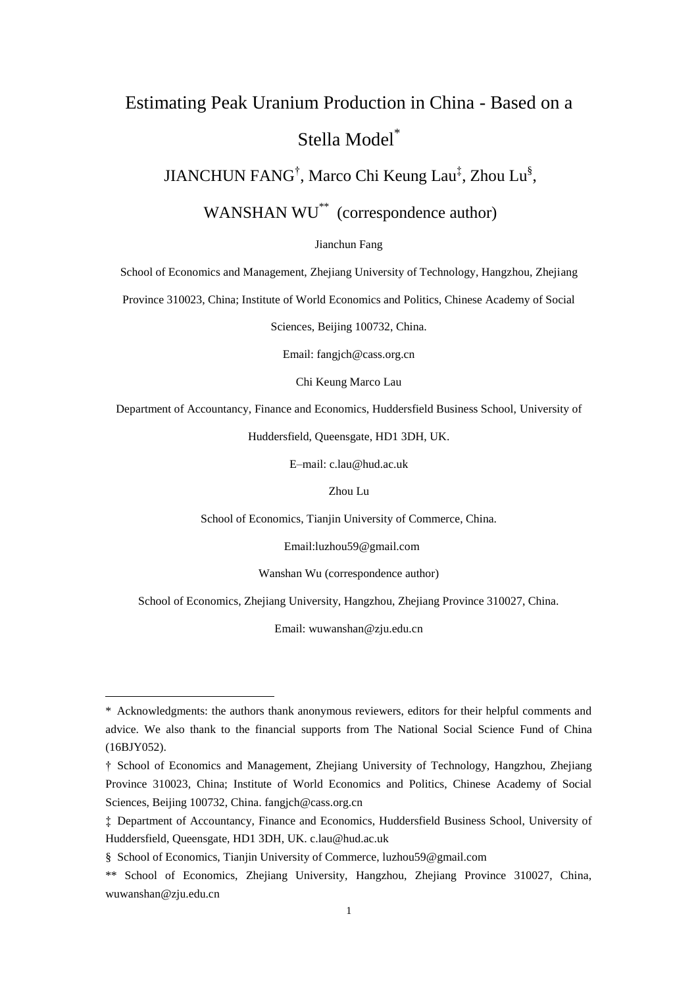# Estimating Peak Uranium Production in China - Based on a Stella Model\*

JIANCHUN FANG<sup>†</sup>, Marco Chi Keung Lau<sup>‡</sup>, Zhou Lu<sup>§</sup>,

WANSHAN WU<sup>\*\*</sup> (correspondence author)

Jianchun Fang

School of Economics and Management, Zhejiang University of Technology, Hangzhou, Zhejiang

Province 310023, China; Institute of World Economics and Politics, Chinese Academy of Social

Sciences, Beijing 100732, China.

Email: fangjch@cass.org.cn

Chi Keung Marco Lau

Department of Accountancy, Finance and Economics, Huddersfield Business School, University of

Huddersfield, Queensgate, HD1 3DH, UK.

E–mail: [c.lau@hud.ac.uk](mailto:c.lau@hud.ac.uk)

Zhou Lu

School of Economics, Tianjin University of Commerce, China.

Email[:luzhou59@gmail.com](mailto:luzhou59@gmail.com)

Wanshan Wu (correspondence author)

School of Economics, Zhejiang University, Hangzhou, Zhejiang Province 310027, China.

Email: wuwanshan@zju.edu.cn

1

<sup>\*</sup> Acknowledgments: the authors thank anonymous reviewers, editors for their helpful comments and advice. We also thank to the financial supports from The National Social Science Fund of China (16BJY052).

<sup>†</sup> School of Economics and Management, Zhejiang University of Technology, Hangzhou, Zhejiang Province 310023, China; Institute of World Economics and Politics, Chinese Academy of Social Sciences, Beijing 100732, China. fangich@cass.org.cn

<sup>‡</sup> Department of Accountancy, Finance and Economics, Huddersfield Business School, University of Huddersfield, Queensgate, HD1 3DH, UK. c.lau@hud.ac.uk

<sup>§</sup> School of Economics, Tianjin University of Commerce, [luzhou59@gmail.com](mailto:luzhou59@gmail.com)

<sup>\*\*</sup> School of Economics, Zhejiang University, Hangzhou, Zhejiang Province 310027, China, [wuwanshan@zju.edu.cn](mailto:wuwanshan@zju.edu.cn)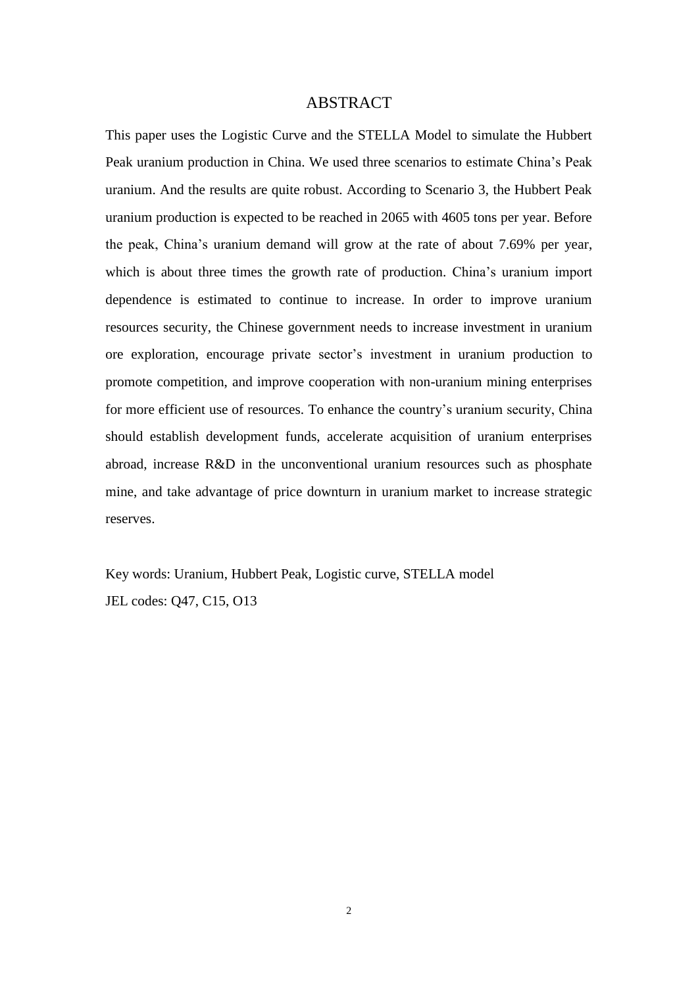## ABSTRACT

This paper uses the Logistic Curve and the STELLA Model to simulate the Hubbert Peak uranium production in China. We used three scenarios to estimate China's Peak uranium. And the results are quite robust. According to Scenario 3, the Hubbert Peak uranium production is expected to be reached in 2065 with 4605 tons per year. Before the peak, China's uranium demand will grow at the rate of about 7.69% per year, which is about three times the growth rate of production. China's uranium import dependence is estimated to continue to increase. In order to improve uranium resources security, the Chinese government needs to increase investment in uranium ore exploration, encourage private sector's investment in uranium production to promote competition, and improve cooperation with non-uranium mining enterprises for more efficient use of resources. To enhance the country's uranium security, China should establish development funds, accelerate acquisition of uranium enterprises abroad, increase R&D in the unconventional uranium resources such as phosphate mine, and take advantage of price downturn in uranium market to increase strategic reserves.

Key words: Uranium, Hubbert Peak, Logistic curve, STELLA model JEL codes: Q47, C15, O13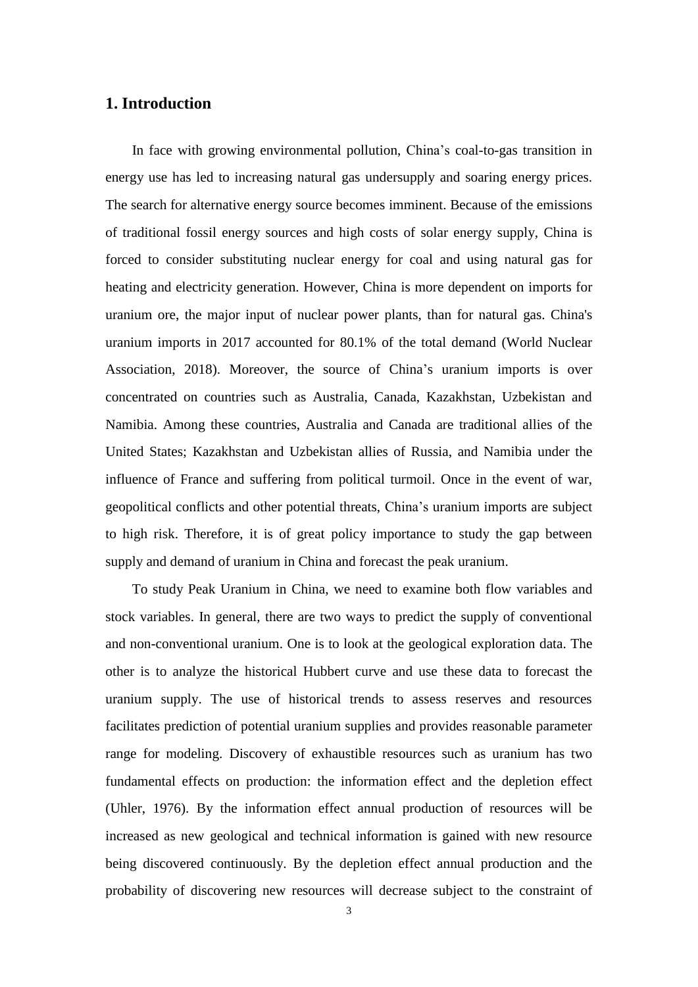# **1. Introduction**

In face with growing environmental pollution, China's coal-to-gas transition in energy use has led to increasing natural gas undersupply and soaring energy prices. The search for alternative energy source becomes imminent. Because of the emissions of traditional fossil energy sources and high costs of solar energy supply, China is forced to consider substituting nuclear energy for coal and using natural gas for heating and electricity generation. However, China is more dependent on imports for uranium ore, the major input of nuclear power plants, than for natural gas. China's uranium imports in 2017 accounted for 80.1% of the total demand (World Nuclear Association, 2018). Moreover, the source of China's uranium imports is over concentrated on countries such as Australia, Canada, Kazakhstan, Uzbekistan and Namibia. Among these countries, Australia and Canada are traditional allies of the United States; Kazakhstan and Uzbekistan allies of Russia, and Namibia under the influence of France and suffering from political turmoil. Once in the event of war, geopolitical conflicts and other potential threats, China's uranium imports are subject to high risk. Therefore, it is of great policy importance to study the gap between supply and demand of uranium in China and forecast the peak uranium.

To study Peak Uranium in China, we need to examine both flow variables and stock variables. In general, there are two ways to predict the supply of conventional and non-conventional uranium. One is to look at the geological exploration data. The other is to analyze the historical Hubbert curve and use these data to forecast the uranium supply. The use of historical trends to assess reserves and resources facilitates prediction of potential uranium supplies and provides reasonable parameter range for modeling. Discovery of exhaustible resources such as uranium has two fundamental effects on production: the information effect and the depletion effect (Uhler, 1976). By the information effect annual production of resources will be increased as new geological and technical information is gained with new resource being discovered continuously. By the depletion effect annual production and the probability of discovering new resources will decrease subject to the constraint of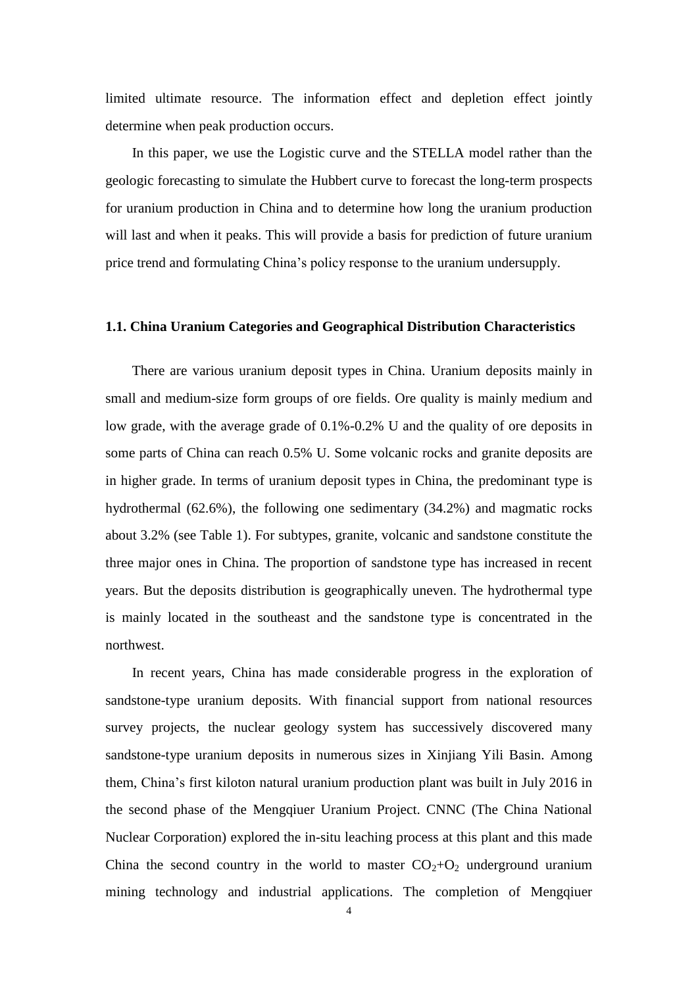limited ultimate resource. The information effect and depletion effect jointly determine when peak production occurs.

In this paper, we use the Logistic curve and the STELLA model rather than the geologic forecasting to simulate the Hubbert curve to forecast the long-term prospects for uranium production in China and to determine how long the uranium production will last and when it peaks. This will provide a basis for prediction of future uranium price trend and formulating China's policy response to the uranium undersupply.

## **1.1. China Uranium Categories and Geographical Distribution Characteristics**

There are various uranium deposit types in China. Uranium deposits mainly in small and medium-size form groups of ore fields. Ore quality is mainly medium and low grade, with the average grade of 0.1%-0.2% U and the quality of ore deposits in some parts of China can reach 0.5% U. Some volcanic rocks and granite deposits are in higher grade. In terms of uranium deposit types in China, the predominant type is hydrothermal (62.6%), the following one sedimentary (34.2%) and magmatic rocks about 3.2% (see Table 1). For subtypes, granite, volcanic and sandstone constitute the three major ones in China. The proportion of sandstone type has increased in recent years. But the deposits distribution is geographically uneven. The hydrothermal type is mainly located in the southeast and the sandstone type is concentrated in the northwest.

In recent years, China has made considerable progress in the exploration of sandstone-type uranium deposits. With financial support from national resources survey projects, the nuclear geology system has successively discovered many sandstone-type uranium deposits in numerous sizes in Xinjiang Yili Basin. Among them, China's first kiloton natural uranium production plant was built in July 2016 in the second phase of the Mengqiuer Uranium Project. CNNC (The China National Nuclear Corporation) explored the in-situ leaching process at this plant and this made China the second country in the world to master  $CO<sub>2</sub>+O<sub>2</sub>$  underground uranium mining technology and industrial applications. The completion of Mengqiuer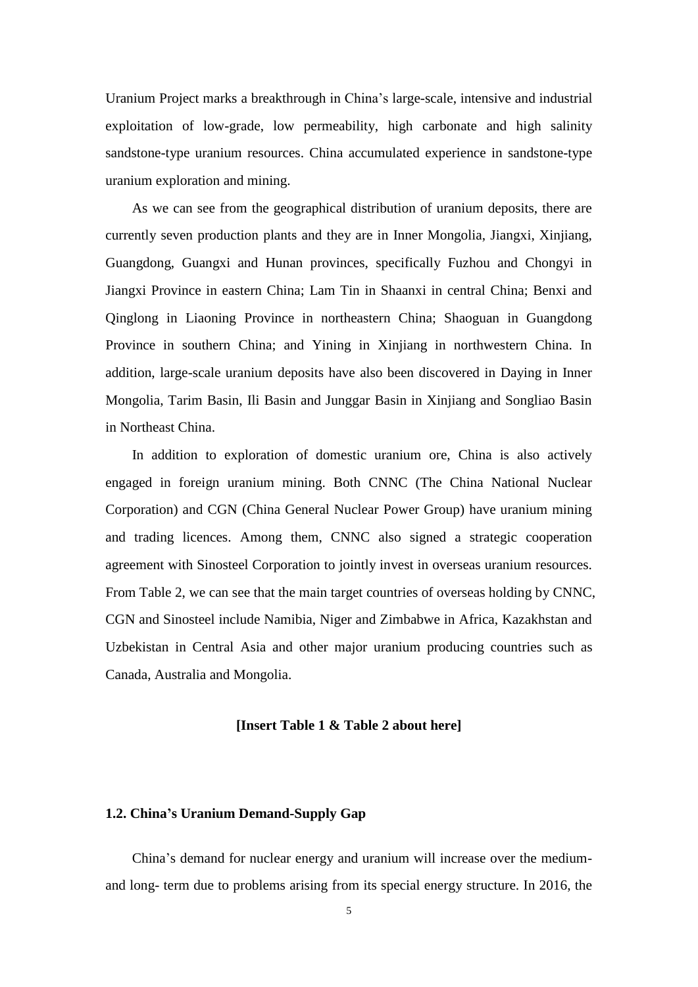Uranium Project marks a breakthrough in China's large-scale, intensive and industrial exploitation of low-grade, low permeability, high carbonate and high salinity sandstone-type uranium resources. China accumulated experience in sandstone-type uranium exploration and mining.

As we can see from the geographical distribution of uranium deposits, there are currently seven production plants and they are in Inner Mongolia, Jiangxi, Xinjiang, Guangdong, Guangxi and Hunan provinces, specifically Fuzhou and Chongyi in Jiangxi Province in eastern China; Lam Tin in Shaanxi in central China; Benxi and Qinglong in Liaoning Province in northeastern China; Shaoguan in Guangdong Province in southern China; and Yining in Xinjiang in northwestern China. In addition, large-scale uranium deposits have also been discovered in Daying in Inner Mongolia, Tarim Basin, Ili Basin and Junggar Basin in Xinjiang and Songliao Basin in Northeast China.

In addition to exploration of domestic uranium ore, China is also actively engaged in foreign uranium mining. Both CNNC (The China National Nuclear Corporation) and CGN (China General Nuclear Power Group) have uranium mining and trading licences. Among them, CNNC also signed a strategic cooperation agreement with Sinosteel Corporation to jointly invest in overseas uranium resources. From Table 2, we can see that the main target countries of overseas holding by CNNC, CGN and Sinosteel include Namibia, Niger and Zimbabwe in Africa, Kazakhstan and Uzbekistan in Central Asia and other major uranium producing countries such as Canada, Australia and Mongolia.

#### **[Insert Table 1 & Table 2 about here]**

# **1.2. China's Uranium Demand-Supply Gap**

China's demand for nuclear energy and uranium will increase over the mediumand long- term due to problems arising from its special energy structure. In 2016, the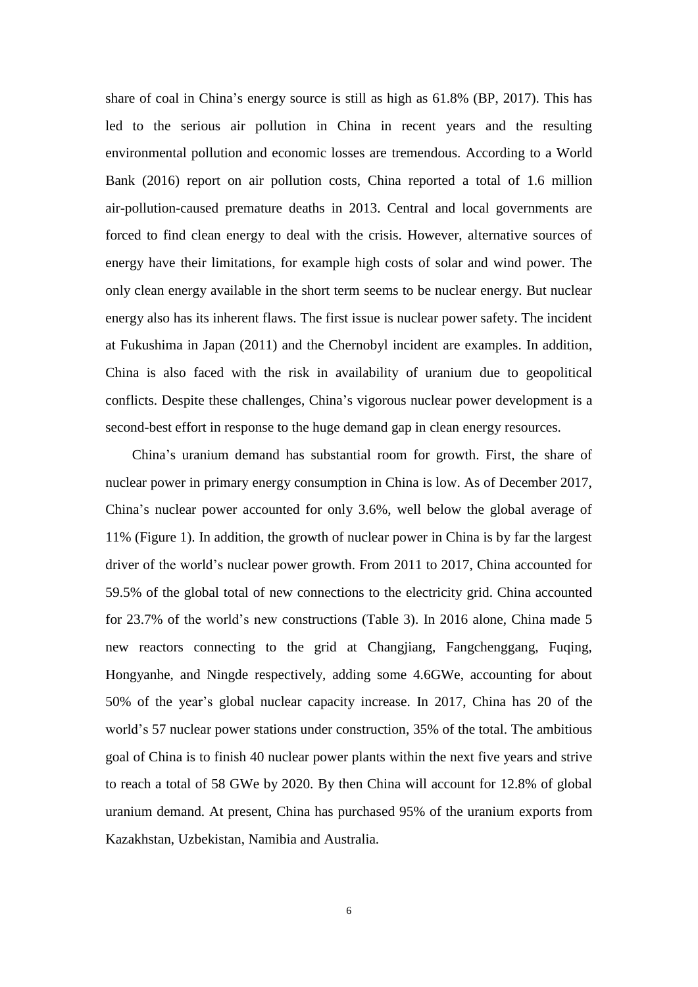share of coal in China's energy source is still as high as 61.8% (BP, 2017). This has led to the serious air pollution in China in recent years and the resulting environmental pollution and economic losses are tremendous. According to a World Bank (2016) report on air pollution costs, China reported a total of 1.6 million air-pollution-caused premature deaths in 2013. Central and local governments are forced to find clean energy to deal with the crisis. However, alternative sources of energy have their limitations, for example high costs of solar and wind power. The only clean energy available in the short term seems to be nuclear energy. But nuclear energy also has its inherent flaws. The first issue is nuclear power safety. The incident at Fukushima in Japan (2011) and the Chernobyl incident are examples. In addition, China is also faced with the risk in availability of uranium due to geopolitical conflicts. Despite these challenges, China's vigorous nuclear power development is a second-best effort in response to the huge demand gap in clean energy resources.

China's uranium demand has substantial room for growth. First, the share of nuclear power in primary energy consumption in China is low. As of December 2017, China's nuclear power accounted for only 3.6%, well below the global average of 11% (Figure 1). In addition, the growth of nuclear power in China is by far the largest driver of the world's nuclear power growth. From 2011 to 2017, China accounted for 59.5% of the global total of new connections to the electricity grid. China accounted for 23.7% of the world's new constructions (Table 3). In 2016 alone, China made 5 new reactors connecting to the grid at Changjiang, Fangchenggang, Fuqing, Hongyanhe, and Ningde respectively, adding some 4.6GWe, accounting for about 50% of the year's global nuclear capacity increase. In 2017, China has 20 of the world's 57 nuclear power stations under construction, 35% of the total. The ambitious goal of China is to finish 40 nuclear power plants within the next five years and strive to reach a total of 58 GWe by 2020. By then China will account for 12.8% of global uranium demand. At present, China has purchased 95% of the uranium exports from Kazakhstan, Uzbekistan, Namibia and Australia.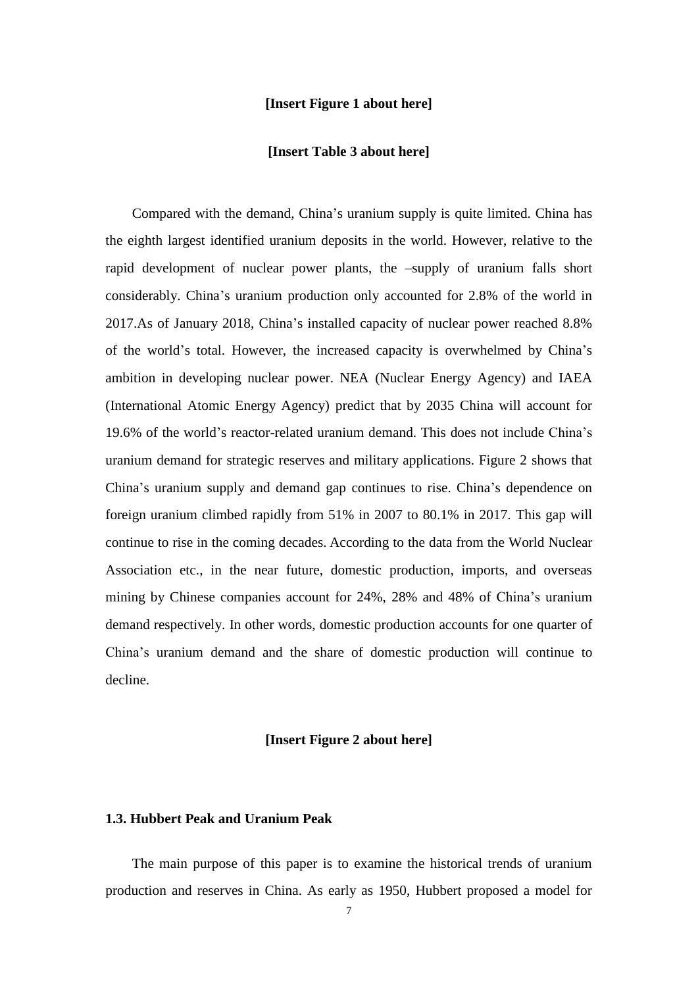### **[Insert Figure 1 about here]**

## **[Insert Table 3 about here]**

Compared with the demand, China's uranium supply is quite limited. China has the eighth largest identified uranium deposits in the world. However, relative to the rapid development of nuclear power plants, the –supply of uranium falls short considerably. China's uranium production only accounted for 2.8% of the world in 2017.As of January 2018, China's installed capacity of nuclear power reached 8.8% of the world's total. However, the increased capacity is overwhelmed by China's ambition in developing nuclear power. NEA (Nuclear Energy Agency) and IAEA (International Atomic Energy Agency) predict that by 2035 China will account for 19.6% of the world's reactor-related uranium demand. This does not include China's uranium demand for strategic reserves and military applications. Figure 2 shows that China's uranium supply and demand gap continues to rise. China's dependence on foreign uranium climbed rapidly from 51% in 2007 to 80.1% in 2017. This gap will continue to rise in the coming decades. According to the data from the World Nuclear Association etc., in the near future, domestic production, imports, and overseas mining by Chinese companies account for 24%, 28% and 48% of China's uranium demand respectively. In other words, domestic production accounts for one quarter of China's uranium demand and the share of domestic production will continue to decline.

## **[Insert Figure 2 about here]**

## **1.3. Hubbert Peak and Uranium Peak**

The main purpose of this paper is to examine the historical trends of uranium production and reserves in China. As early as 1950, Hubbert proposed a model for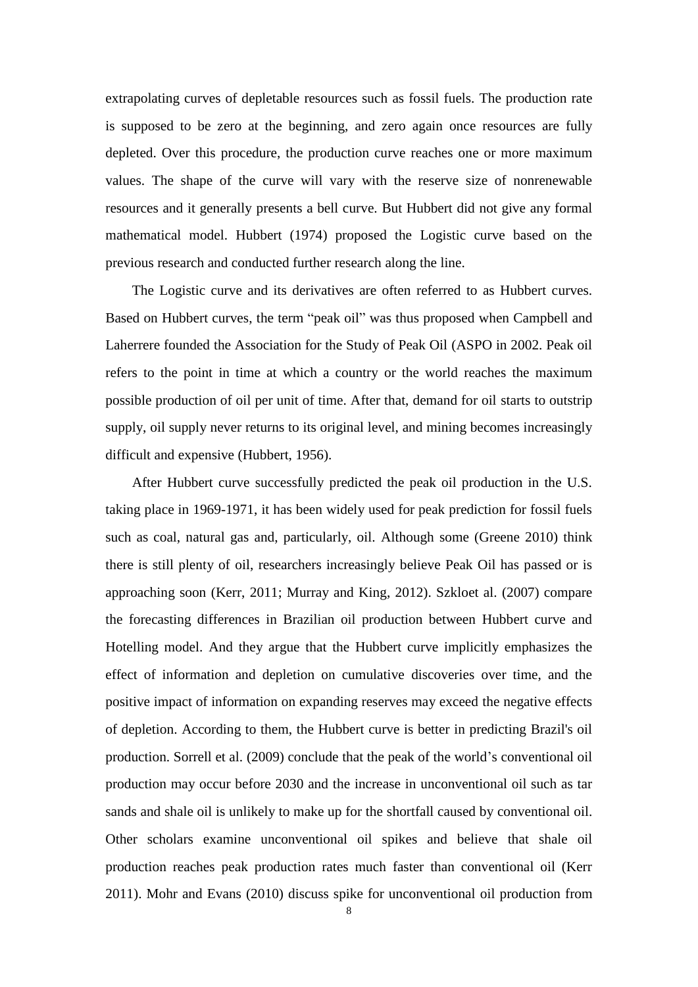extrapolating curves of depletable resources such as fossil fuels. The production rate is supposed to be zero at the beginning, and zero again once resources are fully depleted. Over this procedure, the production curve reaches one or more maximum values. The shape of the curve will vary with the reserve size of nonrenewable resources and it generally presents a bell curve. But Hubbert did not give any formal mathematical model. Hubbert (1974) proposed the Logistic curve based on the previous research and conducted further research along the line.

The Logistic curve and its derivatives are often referred to as Hubbert curves. Based on Hubbert curves, the term "peak oil" was thus proposed when Campbell and Laherrere founded the Association for the Study of Peak Oil (ASPO in 2002. Peak oil refers to the point in time at which a country or the world reaches the maximum possible production of oil per unit of time. After that, demand for oil starts to outstrip supply, oil supply never returns to its original level, and mining becomes increasingly difficult and expensive (Hubbert, 1956).

After Hubbert curve successfully predicted the peak oil production in the U.S. taking place in 1969-1971, it has been widely used for peak prediction for fossil fuels such as coal, natural gas and, particularly, oil. Although some (Greene 2010) think there is still plenty of oil, researchers increasingly believe Peak Oil has passed or is approaching soon (Kerr, 2011; Murray and King, 2012). Szkloet al. (2007) compare the forecasting differences in Brazilian oil production between Hubbert curve and Hotelling model. And they argue that the Hubbert curve implicitly emphasizes the effect of information and depletion on cumulative discoveries over time, and the positive impact of information on expanding reserves may exceed the negative effects of depletion. According to them, the Hubbert curve is better in predicting Brazil's oil production. Sorrell et al. (2009) conclude that the peak of the world's conventional oil production may occur before 2030 and the increase in unconventional oil such as tar sands and shale oil is unlikely to make up for the shortfall caused by conventional oil. Other scholars examine unconventional oil spikes and believe that shale oil production reaches peak production rates much faster than conventional oil (Kerr 2011). Mohr and Evans (2010) discuss spike for unconventional oil production from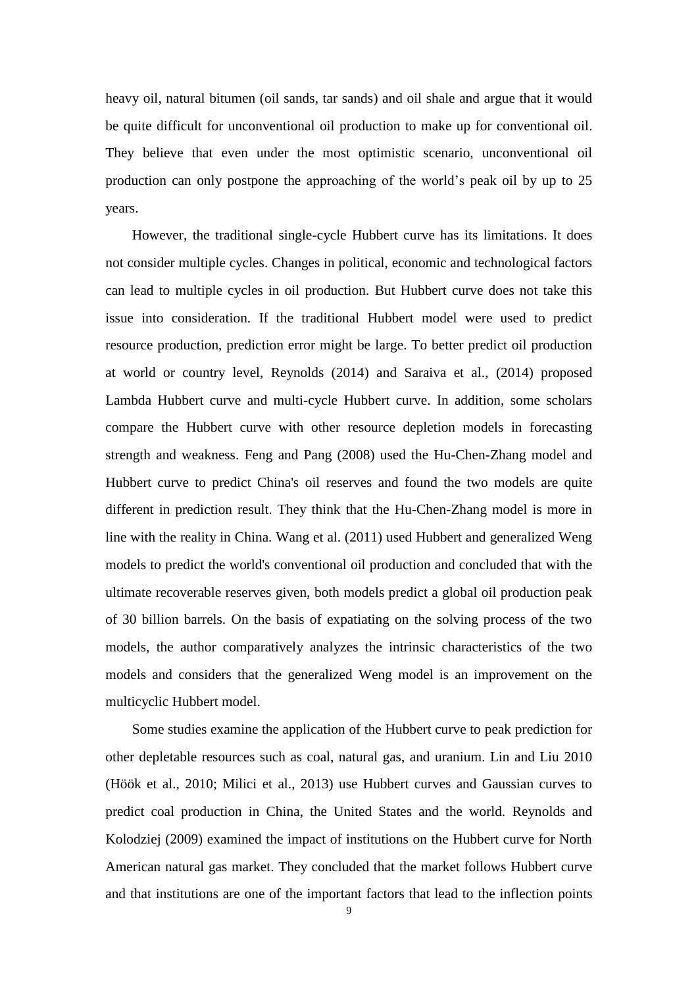heavy oil, natural bitumen (oil sands, tar sands) and oil shale and argue that it would be quite difficult for unconventional oil production to make up for conventional oil. They believe that even under the most optimistic scenario, unconventional oil production can only postpone the approaching of the world's peak oil by up to 25 years.

However, the traditional single-cycle Hubbert curve has its limitations. It does not consider multiple cycles. Changes in political, economic and technological factors can lead to multiple cycles in oil production. But Hubbert curve does not take this issue into consideration. If the traditional Hubbert model were used to predict resource production, prediction error might be large. To better predict oil production at world or country level, Reynolds (2014) and Saraiva et al., (2014) proposed Lambda Hubbert curve and multi-cycle Hubbert curve. In addition, some scholars compare the Hubbert curve with other resource depletion models in forecasting strength and weakness. Feng and Pang (2008) used the Hu-Chen-Zhang model and Hubbert curve to predict China's oil reserves and found the two models are quite different in prediction result. They think that the Hu-Chen-Zhang model is more in line with the reality in China. Wang et al. (2011) used Hubbert and generalized Weng models to predict the world's conventional oil production and concluded that with the ultimate recoverable reserves given, both models predict a global oil production peak of 30 billion barrels. On the basis of expatiating on the solving process of the two models, the author comparatively analyzes the intrinsic characteristics of the two models and considers that the generalized Weng model is an improvement on the multicyclic Hubbert model.

Some studies examine the application of the Hubbert curve to peak prediction for other depletable resources such as coal, natural gas, and uranium. Lin and Liu 2010 (Höök et al., 2010; Milici et al., 2013) use Hubbert curves and Gaussian curves to predict coal production in China, the United States and the world. Reynolds and Kolodziej (2009) examined the impact of institutions on the Hubbert curve for North American natural gas market. They concluded that the market follows Hubbert curve and that institutions are one of the important factors that lead to the inflection points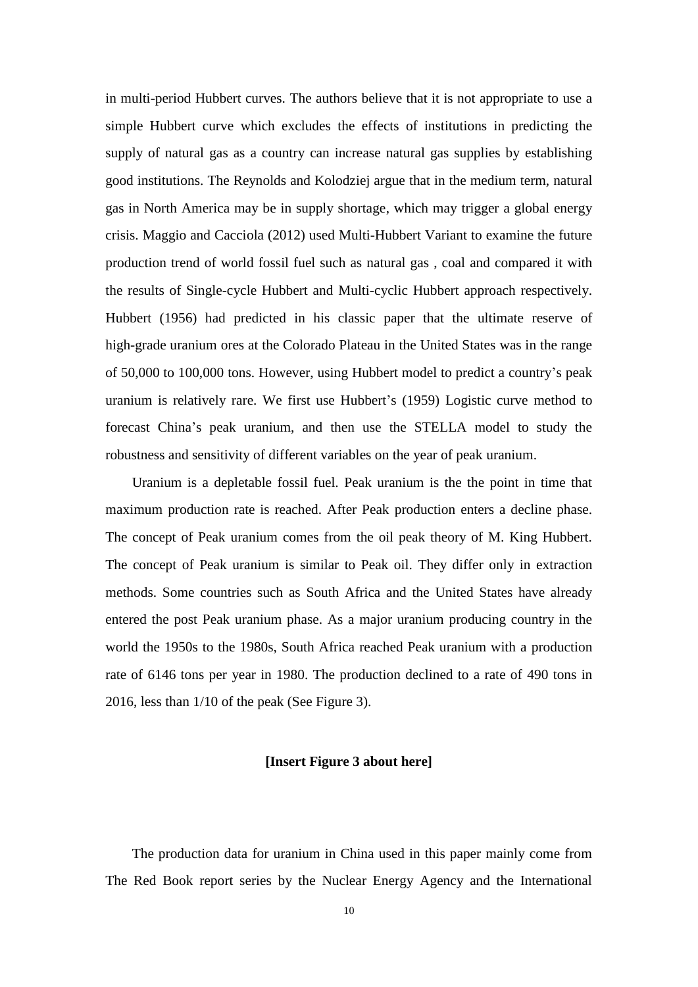in multi-period Hubbert curves. The authors believe that it is not appropriate to use a simple Hubbert curve which excludes the effects of institutions in predicting the supply of natural gas as a country can increase natural gas supplies by establishing good institutions. The Reynolds and Kolodziej argue that in the medium term, natural gas in North America may be in supply shortage, which may trigger a global energy crisis. Maggio and Cacciola (2012) used Multi-Hubbert Variant to examine the future production trend of world fossil fuel such as natural gas , coal and compared it with the results of Single-cycle Hubbert and Multi-cyclic Hubbert approach respectively. Hubbert (1956) had predicted in his classic paper that the ultimate reserve of high-grade uranium ores at the Colorado Plateau in the United States was in the range of 50,000 to 100,000 tons. However, using Hubbert model to predict a country's peak uranium is relatively rare. We first use Hubbert's (1959) Logistic curve method to forecast China's peak uranium, and then use the STELLA model to study the robustness and sensitivity of different variables on the year of peak uranium.

Uranium is a depletable fossil fuel. Peak uranium is the the point in time that maximum production rate is reached. After Peak production enters a decline phase. The concept of Peak uranium comes from the oil peak theory of M. King Hubbert. The concept of Peak uranium is similar to Peak oil. They differ only in extraction methods. Some countries such as South Africa and the United States have already entered the post Peak uranium phase. As a major uranium producing country in the world the 1950s to the 1980s, South Africa reached Peak uranium with a production rate of 6146 tons per year in 1980. The production declined to a rate of 490 tons in 2016, less than 1/10 of the peak (See Figure 3).

## **[Insert Figure 3 about here]**

The production data for uranium in China used in this paper mainly come from The Red Book report series by the Nuclear Energy Agency and the International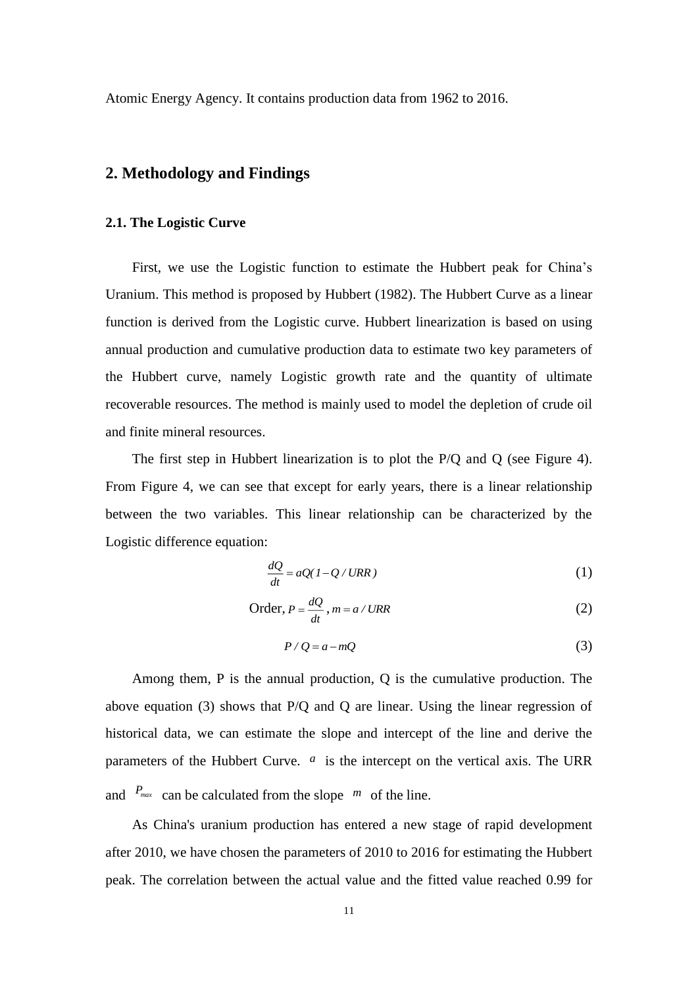Atomic Energy Agency. It contains production data from 1962 to 2016.

# **2. Methodology and Findings**

#### **2.1. The Logistic Curve**

First, we use the Logistic function to estimate the Hubbert peak for China's Uranium. This method is proposed by Hubbert (1982). The Hubbert Curve as a linear function is derived from the Logistic curve. Hubbert linearization is based on using annual production and cumulative production data to estimate two key parameters of the Hubbert curve, namely Logistic growth rate and the quantity of ultimate recoverable resources. The method is mainly used to model the depletion of crude oil and finite mineral resources.

The first step in Hubbert linearization is to plot the P/Q and Q (see Figure 4). From Figure 4, we can see that except for early years, there is a linear relationship between the two variables. This linear relationship can be characterized by the Logistic difference equation:

$$
\frac{dQ}{dt} = aQ(1 - Q / URR)
$$
 (1)

Order, 
$$
P = \frac{dQ}{dt}
$$
,  $m = a / URR$  (2)

$$
P/Q = a - mQ \tag{3}
$$

Among them, P is the annual production, Q is the cumulative production. The above equation (3) shows that P/Q and Q are linear. Using the linear regression of historical data, we can estimate the slope and intercept of the line and derive the parameters of the Hubbert Curve. <sup>*a*</sup> is the intercept on the vertical axis. The URR and  $P_{max}$  can be calculated from the slope  $m$  of the line.

As China's uranium production has entered a new stage of rapid development after 2010, we have chosen the parameters of 2010 to 2016 for estimating the Hubbert peak. The correlation between the actual value and the fitted value reached 0.99 for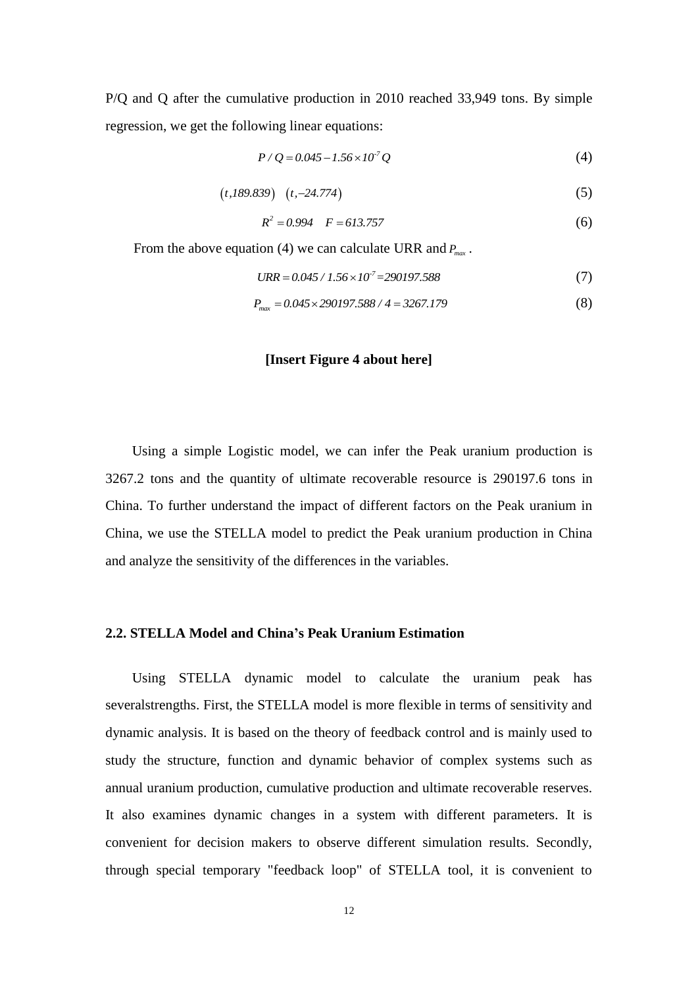P/Q and Q after the cumulative production in 2010 reached 33,949 tons. By simple regression, we get the following linear equations:

$$
P/Q = 0.045 - 1.56 \times 10^7 Q \tag{4}
$$

$$
(t,189.839) (t,-24.774) \tag{5}
$$

$$
R^2 = 0.994 \quad F = 613.757 \tag{6}
$$

From the above equation (4) we can calculate URR and  $P_{max}$ .

$$
URR = 0.045 / 1.56 \times 10^7 = 290197.588
$$
 (7)

$$
P_{\text{max}} = 0.045 \times 290197.588 / 4 = 3267.179 \tag{8}
$$

#### **[Insert Figure 4 about here]**

Using a simple Logistic model, we can infer the Peak uranium production is 3267.2 tons and the quantity of ultimate recoverable resource is 290197.6 tons in China. To further understand the impact of different factors on the Peak uranium in China, we use the STELLA model to predict the Peak uranium production in China and analyze the sensitivity of the differences in the variables.

## **2.2. STELLA Model and China's Peak Uranium Estimation**

Using STELLA dynamic model to calculate the uranium peak has severalstrengths. First, the STELLA model is more flexible in terms of sensitivity and dynamic analysis. It is based on the theory of feedback control and is mainly used to study the structure, function and dynamic behavior of complex systems such as annual uranium production, cumulative production and ultimate recoverable reserves. It also examines dynamic changes in a system with different parameters. It is convenient for decision makers to observe different simulation results. Secondly, through special temporary "feedback loop" of STELLA tool, it is convenient to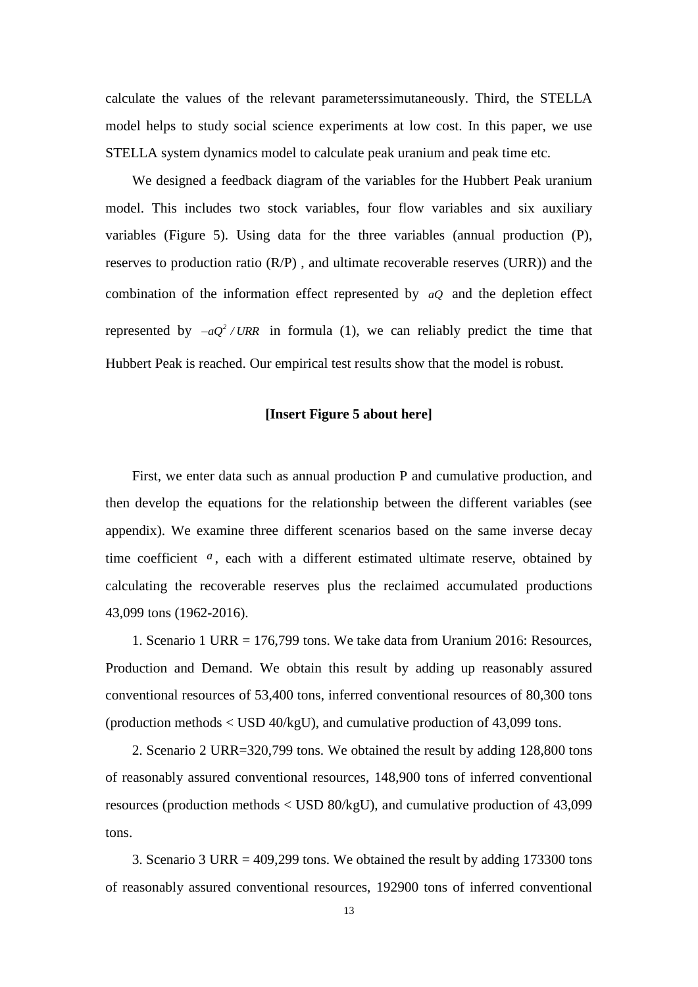calculate the values of the relevant parameterssimutaneously. Third, the STELLA model helps to study social science experiments at low cost. In this paper, we use STELLA system dynamics model to calculate peak uranium and peak time etc.

We designed a feedback diagram of the variables for the Hubbert Peak uranium model. This includes two stock variables, four flow variables and six auxiliary variables (Figure 5). Using data for the three variables (annual production (P), reserves to production ratio (R/P) , and ultimate recoverable reserves (URR)) and the combination of the information effect represented by *aQ* and the depletion effect represented by  $-aQ^2 / URR$  in formula (1), we can reliably predict the time that Hubbert Peak is reached. Our empirical test results show that the model is robust.

#### **[Insert Figure 5 about here]**

First, we enter data such as annual production P and cumulative production, and then develop the equations for the relationship between the different variables (see appendix). We examine three different scenarios based on the same inverse decay time coefficient a, each with a different estimated ultimate reserve, obtained by calculating the recoverable reserves plus the reclaimed accumulated productions 43,099 tons (1962-2016).

1. Scenario 1 URR = 176,799 tons. We take data from Uranium 2016: Resources, Production and Demand. We obtain this result by adding up reasonably assured conventional resources of 53,400 tons, inferred conventional resources of 80,300 tons (production methods < USD 40/kgU), and cumulative production of 43,099 tons.

2. Scenario 2 URR=320,799 tons. We obtained the result by adding 128,800 tons of reasonably assured conventional resources, 148,900 tons of inferred conventional resources (production methods < USD 80/kgU), and cumulative production of 43,099 tons.

3. Scenario 3 URR = 409,299 tons. We obtained the result by adding 173300 tons of reasonably assured conventional resources, 192900 tons of inferred conventional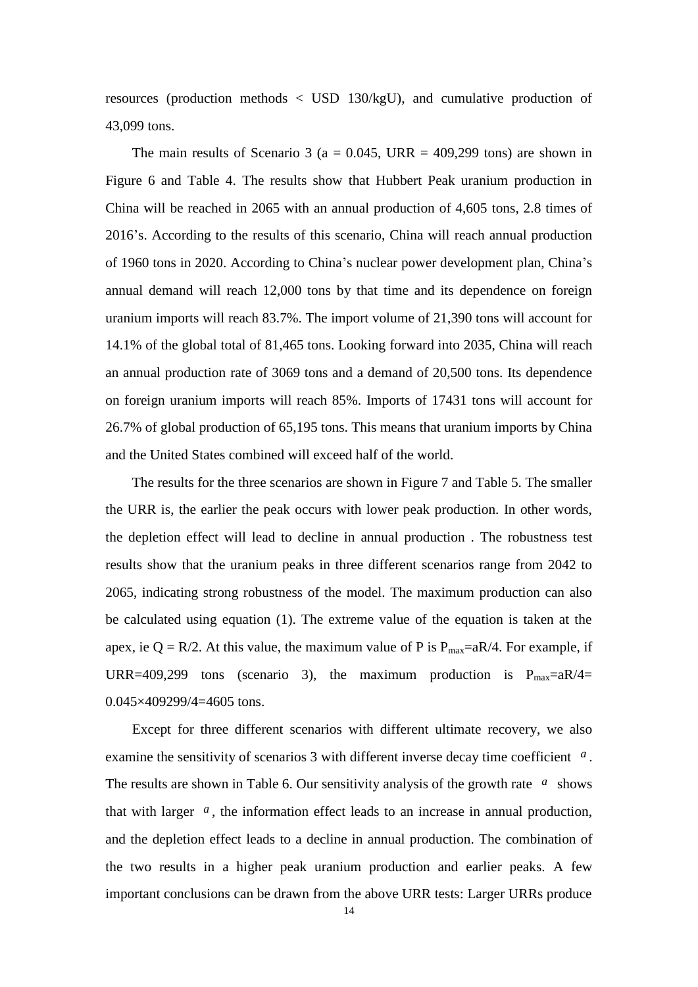resources (production methods < USD 130/kgU), and cumulative production of 43,099 tons.

The main results of Scenario 3 ( $a = 0.045$ , URR = 409,299 tons) are shown in Figure 6 and Table 4. The results show that Hubbert Peak uranium production in China will be reached in 2065 with an annual production of 4,605 tons, 2.8 times of 2016's. According to the results of this scenario, China will reach annual production of 1960 tons in 2020. According to China's nuclear power development plan, China's annual demand will reach 12,000 tons by that time and its dependence on foreign uranium imports will reach 83.7%. The import volume of 21,390 tons will account for 14.1% of the global total of 81,465 tons. Looking forward into 2035, China will reach an annual production rate of 3069 tons and a demand of 20,500 tons. Its dependence on foreign uranium imports will reach 85%. Imports of 17431 tons will account for 26.7% of global production of 65,195 tons. This means that uranium imports by China and the United States combined will exceed half of the world.

The results for the three scenarios are shown in Figure 7 and Table 5. The smaller the URR is, the earlier the peak occurs with lower peak production. In other words, the depletion effect will lead to decline in annual production . The robustness test results show that the uranium peaks in three different scenarios range from 2042 to 2065, indicating strong robustness of the model. The maximum production can also be calculated using equation (1). The extreme value of the equation is taken at the apex, ie Q = R/2. At this value, the maximum value of P is  $P_{\text{max}}=aR/4$ . For example, if URR=409,299 tons (scenario 3), the maximum production is  $P_{max}=aR/4=$  $0.045 \times 409299/4 = 4605$  tons.

Except for three different scenarios with different ultimate recovery, we also examine the sensitivity of scenarios 3 with different inverse decay time coefficient *<sup>a</sup>* . The results are shown in Table 6. Our sensitivity analysis of the growth rate  $a$  shows that with larger  $a$ , the information effect leads to an increase in annual production, and the depletion effect leads to a decline in annual production. The combination of the two results in a higher peak uranium production and earlier peaks. A few important conclusions can be drawn from the above URR tests: Larger URRs produce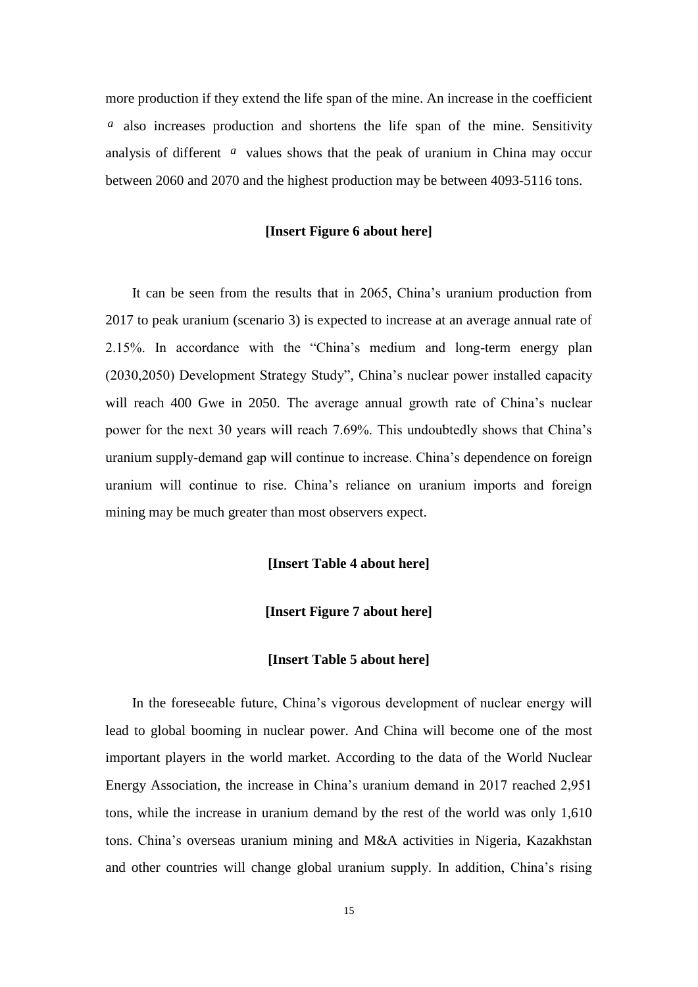more production if they extend the life span of the mine. An increase in the coefficient *a* also increases production and shortens the life span of the mine. Sensitivity analysis of different *a* values shows that the peak of uranium in China may occur between 2060 and 2070 and the highest production may be between 4093-5116 tons.

## **[Insert Figure 6 about here]**

It can be seen from the results that in 2065, China's uranium production from 2017 to peak uranium (scenario 3) is expected to increase at an average annual rate of 2.15%. In accordance with the "China's medium and long-term energy plan (2030,2050) Development Strategy Study", China's nuclear power installed capacity will reach 400 Gwe in 2050. The average annual growth rate of China's nuclear power for the next 30 years will reach 7.69%. This undoubtedly shows that China's uranium supply-demand gap will continue to increase. China's dependence on foreign uranium will continue to rise. China's reliance on uranium imports and foreign mining may be much greater than most observers expect.

## **[Insert Table 4 about here]**

## **[Insert Figure 7 about here]**

#### **[Insert Table 5 about here]**

In the foreseeable future, China's vigorous development of nuclear energy will lead to global booming in nuclear power. And China will become one of the most important players in the world market. According to the data of the World Nuclear Energy Association, the increase in China's uranium demand in 2017 reached 2,951 tons, while the increase in uranium demand by the rest of the world was only 1,610 tons. China's overseas uranium mining and M&A activities in Nigeria, Kazakhstan and other countries will change global uranium supply. In addition, China's rising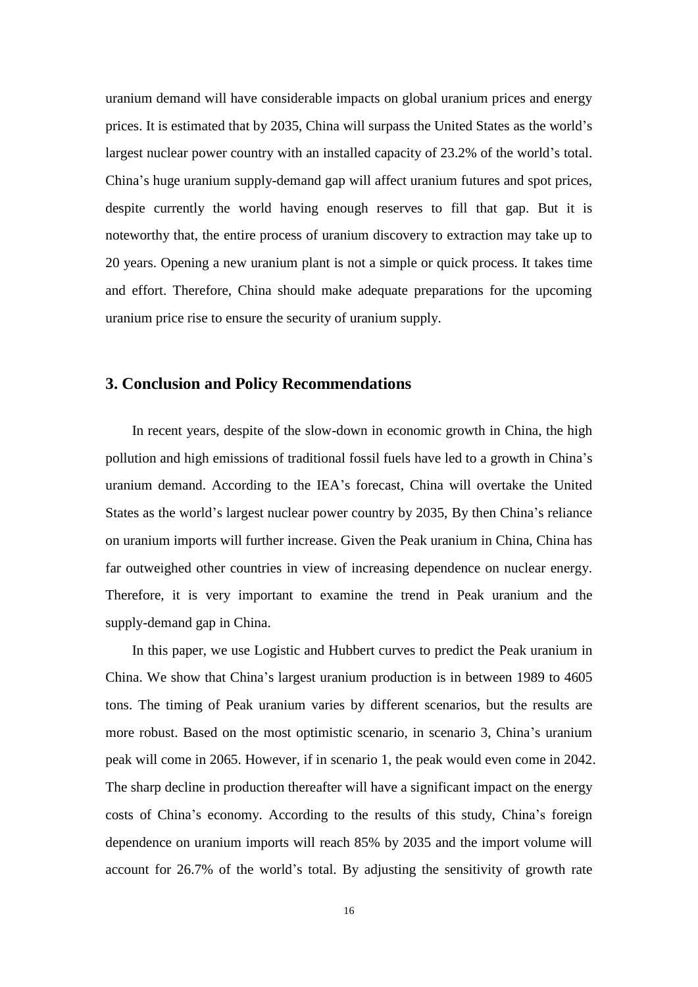uranium demand will have considerable impacts on global uranium prices and energy prices. It is estimated that by 2035, China will surpass the United States as the world's largest nuclear power country with an installed capacity of 23.2% of the world's total. China's huge uranium supply-demand gap will affect uranium futures and spot prices, despite currently the world having enough reserves to fill that gap. But it is noteworthy that, the entire process of uranium discovery to extraction may take up to 20 years. Opening a new uranium plant is not a simple or quick process. It takes time and effort. Therefore, China should make adequate preparations for the upcoming uranium price rise to ensure the security of uranium supply.

## **3. Conclusion and Policy Recommendations**

In recent years, despite of the slow-down in economic growth in China, the high pollution and high emissions of traditional fossil fuels have led to a growth in China's uranium demand. According to the IEA's forecast, China will overtake the United States as the world's largest nuclear power country by 2035, By then China's reliance on uranium imports will further increase. Given the Peak uranium in China, China has far outweighed other countries in view of increasing dependence on nuclear energy. Therefore, it is very important to examine the trend in Peak uranium and the supply-demand gap in China.

In this paper, we use Logistic and Hubbert curves to predict the Peak uranium in China. We show that China's largest uranium production is in between 1989 to 4605 tons. The timing of Peak uranium varies by different scenarios, but the results are more robust. Based on the most optimistic scenario, in scenario 3, China's uranium peak will come in 2065. However, if in scenario 1, the peak would even come in 2042. The sharp decline in production thereafter will have a significant impact on the energy costs of China's economy. According to the results of this study, China's foreign dependence on uranium imports will reach 85% by 2035 and the import volume will account for 26.7% of the world's total. By adjusting the sensitivity of growth rate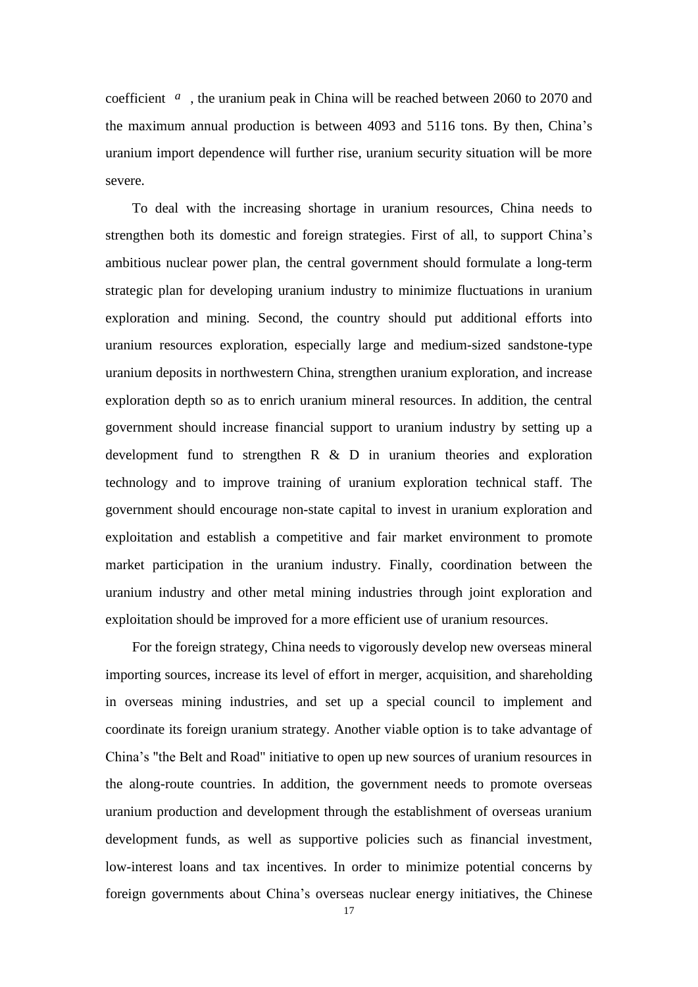coefficient *a* , the uranium peak in China will be reached between 2060 to 2070 and the maximum annual production is between 4093 and 5116 tons. By then, China's uranium import dependence will further rise, uranium security situation will be more severe.

To deal with the increasing shortage in uranium resources, China needs to strengthen both its domestic and foreign strategies. First of all, to support China's ambitious nuclear power plan, the central government should formulate a long-term strategic plan for developing uranium industry to minimize fluctuations in uranium exploration and mining. Second, the country should put additional efforts into uranium resources exploration, especially large and medium-sized sandstone-type uranium deposits in northwestern China, strengthen uranium exploration, and increase exploration depth so as to enrich uranium mineral resources. In addition, the central government should increase financial support to uranium industry by setting up a development fund to strengthen R & D in uranium theories and exploration technology and to improve training of uranium exploration technical staff. The government should encourage non-state capital to invest in uranium exploration and exploitation and establish a competitive and fair market environment to promote market participation in the uranium industry. Finally, coordination between the uranium industry and other metal mining industries through joint exploration and exploitation should be improved for a more efficient use of uranium resources.

For the foreign strategy, China needs to vigorously develop new overseas mineral importing sources, increase its level of effort in merger, acquisition, and shareholding in overseas mining industries, and set up a special council to implement and coordinate its foreign uranium strategy. Another viable option is to take advantage of China's "the Belt and Road" initiative to open up new sources of uranium resources in the along-route countries. In addition, the government needs to promote overseas uranium production and development through the establishment of overseas uranium development funds, as well as supportive policies such as financial investment, low-interest loans and tax incentives. In order to minimize potential concerns by foreign governments about China's overseas nuclear energy initiatives, the Chinese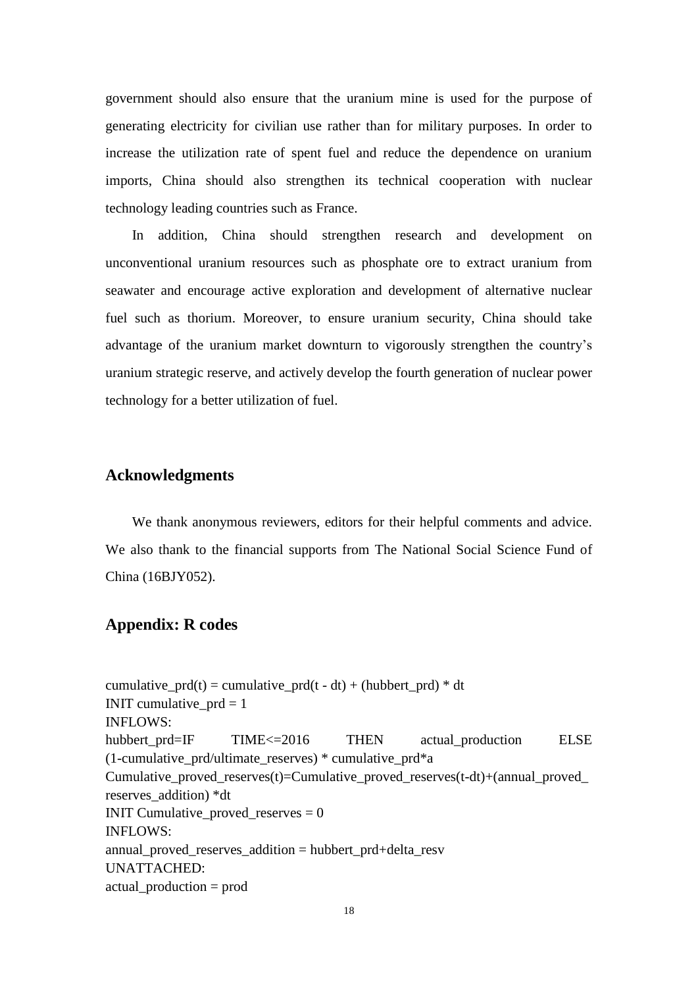government should also ensure that the uranium mine is used for the purpose of generating electricity for civilian use rather than for military purposes. In order to increase the utilization rate of spent fuel and reduce the dependence on uranium imports, China should also strengthen its technical cooperation with nuclear technology leading countries such as France.

In addition, China should strengthen research and development on unconventional uranium resources such as phosphate ore to extract uranium from seawater and encourage active exploration and development of alternative nuclear fuel such as thorium. Moreover, to ensure uranium security, China should take advantage of the uranium market downturn to vigorously strengthen the country's uranium strategic reserve, and actively develop the fourth generation of nuclear power technology for a better utilization of fuel.

## **Acknowledgments**

We thank anonymous reviewers, editors for their helpful comments and advice. We also thank to the financial supports from The National Social Science Fund of China (16BJY052).

# **Appendix: R codes**

cumulative\_prd(t) = cumulative\_prd(t - dt) + (hubbert\_prd)  $*$  dt INIT cumulative  $prd = 1$ INFLOWS: hubbert prd=IF TIME <= 2016 THEN actual production ELSE (1-cumulative\_prd/ultimate\_reserves) \* cumulative\_prd\*a Cumulative proved reserves(t)=Cumulative proved reserves(t-dt)+(annual proved reserves\_addition) \*dt **INIT Cumulative\_proved\_reserves = 0** INFLOWS: annual\_proved\_reserves\_addition = hubbert\_prd+delta\_resv UNATTACHED: actual\_production = prod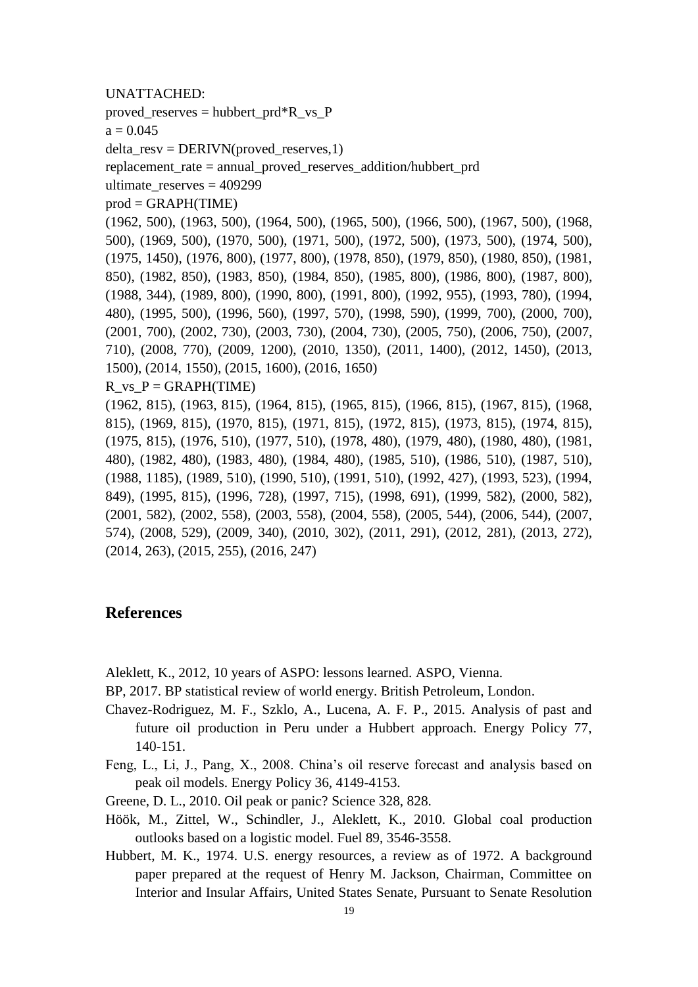#### UNATTACHED:

proved reserves = hubbert  $prd*R$  vs P

 $a = 0.045$ 

delta\_resv = DERIVN(proved\_reserves,1)

replacement rate = annual proved reserves addition/hubbert prd

ultimate\_reserves = 409299

 $prod = GRAPH(TIME)$ 

(1962, 500), (1963, 500), (1964, 500), (1965, 500), (1966, 500), (1967, 500), (1968, 500), (1969, 500), (1970, 500), (1971, 500), (1972, 500), (1973, 500), (1974, 500), (1975, 1450), (1976, 800), (1977, 800), (1978, 850), (1979, 850), (1980, 850), (1981, 850), (1982, 850), (1983, 850), (1984, 850), (1985, 800), (1986, 800), (1987, 800), (1988, 344), (1989, 800), (1990, 800), (1991, 800), (1992, 955), (1993, 780), (1994, 480), (1995, 500), (1996, 560), (1997, 570), (1998, 590), (1999, 700), (2000, 700), (2001, 700), (2002, 730), (2003, 730), (2004, 730), (2005, 750), (2006, 750), (2007, 710), (2008, 770), (2009, 1200), (2010, 1350), (2011, 1400), (2012, 1450), (2013, 1500), (2014, 1550), (2015, 1600), (2016, 1650)

R vs  $P = \text{GRAPH}(\text{TIME})$ 

(1962, 815), (1963, 815), (1964, 815), (1965, 815), (1966, 815), (1967, 815), (1968, 815), (1969, 815), (1970, 815), (1971, 815), (1972, 815), (1973, 815), (1974, 815), (1975, 815), (1976, 510), (1977, 510), (1978, 480), (1979, 480), (1980, 480), (1981, 480), (1982, 480), (1983, 480), (1984, 480), (1985, 510), (1986, 510), (1987, 510), (1988, 1185), (1989, 510), (1990, 510), (1991, 510), (1992, 427), (1993, 523), (1994, 849), (1995, 815), (1996, 728), (1997, 715), (1998, 691), (1999, 582), (2000, 582), (2001, 582), (2002, 558), (2003, 558), (2004, 558), (2005, 544), (2006, 544), (2007, 574), (2008, 529), (2009, 340), (2010, 302), (2011, 291), (2012, 281), (2013, 272), (2014, 263), (2015, 255), (2016, 247)

# **References**

Aleklett, K., 2012, 10 years of ASPO: lessons learned. ASPO, Vienna.

BP, 2017. BP statistical review of world energy. British Petroleum, London.

- Chavez-Rodriguez, M. F., Szklo, A., Lucena, A. F. P., 2015. Analysis of past and future oil production in Peru under a Hubbert approach. Energy Policy 77, 140-151.
- Feng, L., Li, J., Pang, X., 2008. China's oil reserve forecast and analysis based on peak oil models. Energy Policy 36, 4149-4153.

Greene, D. L., 2010. Oil peak or panic? Science 328, 828.

- Höök, M., Zittel, W., Schindler, J., Aleklett, K., 2010. Global coal production outlooks based on a logistic model. Fuel 89, 3546-3558.
- Hubbert, M. K., 1974. U.S. energy resources, a review as of 1972. A background paper prepared at the request of Henry M. Jackson, Chairman, Committee on Interior and Insular Affairs, United States Senate, Pursuant to Senate Resolution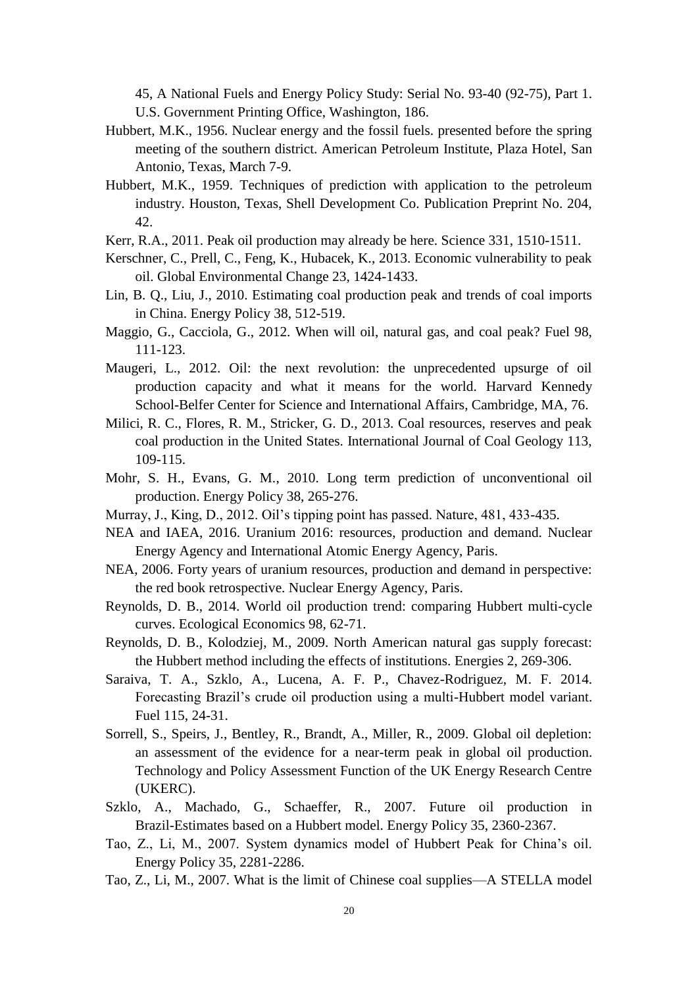45, A National Fuels and Energy Policy Study: Serial No. 93-40 (92-75), Part 1. U.S. Government Printing Office, Washington, 186.

- Hubbert, M.K., 1956. Nuclear energy and the fossil fuels. presented before the spring meeting of the southern district. American Petroleum Institute, Plaza Hotel, San Antonio, Texas, March 7-9.
- Hubbert, M.K., 1959. Techniques of prediction with application to the petroleum industry. Houston, Texas, Shell Development Co. Publication Preprint No. 204, 42.
- Kerr, R.A., 2011. Peak oil production may already be here. Science 331, 1510-1511.
- Kerschner, C., Prell, C., Feng, K., Hubacek, K., 2013. Economic vulnerability to peak oil. Global Environmental Change 23, 1424-1433.
- Lin, B. Q., Liu, J., 2010. Estimating coal production peak and trends of coal imports in China. Energy Policy 38, 512-519.
- Maggio, G., Cacciola, G., 2012. When will oil, natural gas, and coal peak? Fuel 98, 111-123.
- Maugeri, L., 2012. Oil: the next revolution: the unprecedented upsurge of oil production capacity and what it means for the world. Harvard Kennedy School-Belfer Center for Science and International Affairs, Cambridge, MA, 76.
- Milici, R. C., Flores, R. M., Stricker, G. D., 2013. Coal resources, reserves and peak coal production in the United States. International Journal of Coal Geology 113, 109-115.
- Mohr, S. H., Evans, G. M., 2010. Long term prediction of unconventional oil production. Energy Policy 38, 265-276.
- Murray, J., King, D., 2012. Oil's tipping point has passed. Nature, 481, 433-435.
- NEA and IAEA, 2016. Uranium 2016: resources, production and demand. Nuclear Energy Agency and International Atomic Energy Agency, Paris.
- NEA, 2006. Forty years of uranium resources, production and demand in perspective: the red book retrospective. Nuclear Energy Agency, Paris.
- Reynolds, D. B., 2014. World oil production trend: comparing Hubbert multi-cycle curves. Ecological Economics 98, 62-71.
- Reynolds, D. B., Kolodziej, M., 2009. North American natural gas supply forecast: the Hubbert method including the effects of institutions. Energies 2, 269-306.
- Saraiva, T. A., Szklo, A., Lucena, A. F. P., Chavez-Rodriguez, M. F. 2014. Forecasting Brazil's crude oil production using a multi-Hubbert model variant. Fuel 115, 24-31.
- Sorrell, S., Speirs, J., Bentley, R., Brandt, A., Miller, R., 2009. Global oil depletion: an assessment of the evidence for a near-term peak in global oil production. Technology and Policy Assessment Function of the UK Energy Research Centre (UKERC).
- Szklo, A., Machado, G., Schaeffer, R., 2007. Future oil production in Brazil-Estimates based on a Hubbert model. Energy Policy 35, 2360-2367.
- Tao, Z., Li, M., 2007. System dynamics model of Hubbert Peak for China's oil. Energy Policy 35, 2281-2286.
- Tao, Z., Li, M., 2007. What is the limit of Chinese coal supplies—A STELLA model